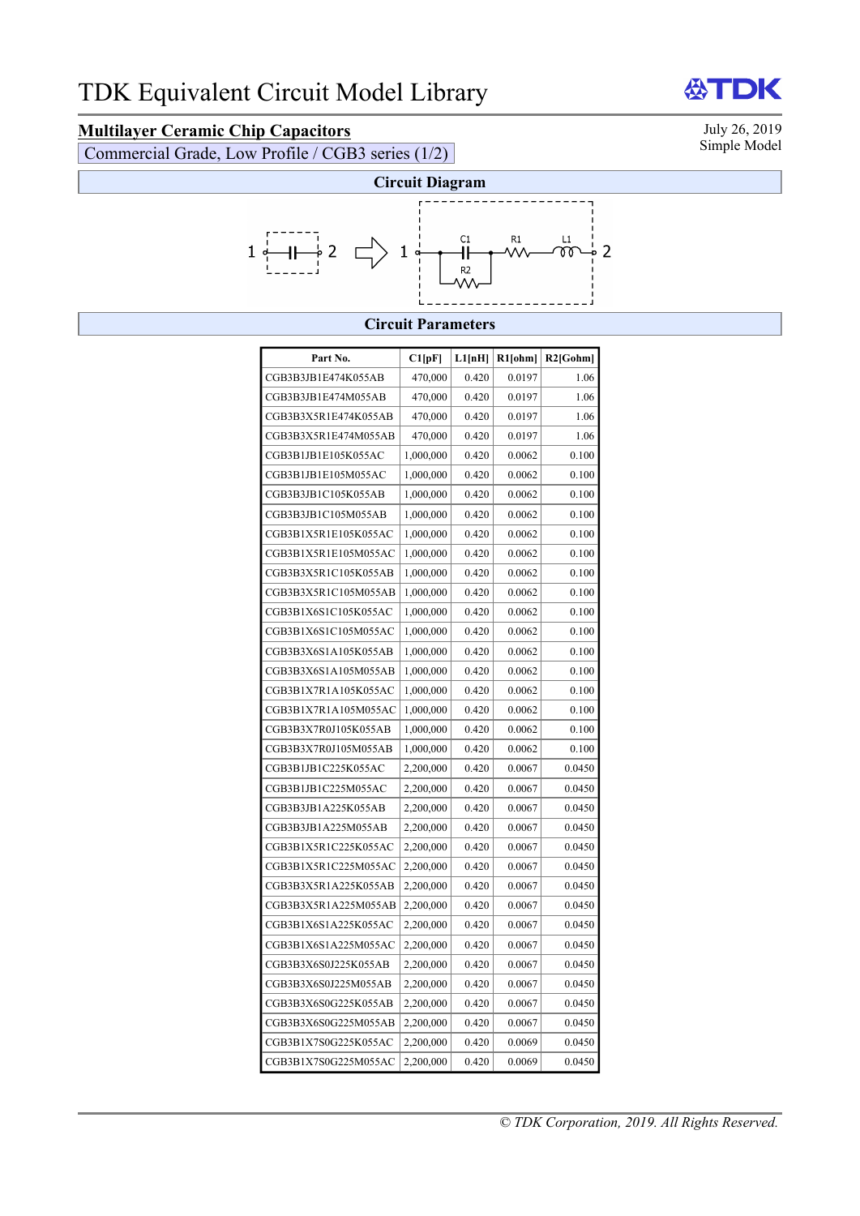## **Multilayer Ceramic Chip Capacitors** July 26, 2019<br>
Commercial Grade Low Profile / CGB3 series (1/2) Simple Model

Commercial Grade, Low Profile / CGB3 series (1/2)



## **Circuit Parameters**

| Part No.             | C1[pF]    | L1[nH] | R1[ohm] | $R2$ [Gohm] |
|----------------------|-----------|--------|---------|-------------|
|                      |           |        |         |             |
| CGB3B3JB1E474K055AB  | 470,000   | 0.420  | 0.0197  | 1.06        |
| CGB3B3JB1E474M055AB  | 470,000   | 0.420  | 0.0197  | 1.06        |
| CGB3B3X5R1E474K055AB | 470,000   | 0.420  | 0.0197  | 1.06        |
| CGB3B3X5R1E474M055AB | 470,000   | 0.420  | 0.0197  | 1.06        |
| CGB3B1JB1E105K055AC  | 1,000,000 | 0.420  | 0.0062  | 0.100       |
| CGB3B1JB1E105M055AC  | 1,000,000 | 0.420  | 0.0062  | 0.100       |
| CGB3B3JB1C105K055AB  | 1,000,000 | 0.420  | 0.0062  | 0.100       |
| CGB3B3JB1C105M055AB  | 1,000,000 | 0.420  | 0.0062  | 0.100       |
| CGB3B1X5R1E105K055AC | 1,000,000 | 0.420  | 0.0062  | 0.100       |
| CGB3B1X5R1E105M055AC | 1,000,000 | 0.420  | 0.0062  | 0.100       |
| CGB3B3X5R1C105K055AB | 1,000,000 | 0.420  | 0.0062  | 0.100       |
| CGB3B3X5R1C105M055AB | 1,000,000 | 0.420  | 0.0062  | 0.100       |
| CGB3B1X6S1C105K055AC | 1,000,000 | 0.420  | 0.0062  | 0.100       |
| CGB3B1X6S1C105M055AC | 1,000,000 | 0.420  | 0.0062  | 0.100       |
| CGB3B3X6S1A105K055AB | 1,000,000 | 0.420  | 0.0062  | 0.100       |
| CGB3B3X6S1A105M055AB | 1,000,000 | 0.420  | 0.0062  | 0.100       |
| CGB3B1X7R1A105K055AC | 1,000,000 | 0.420  | 0.0062  | 0.100       |
| CGB3B1X7R1A105M055AC | 1,000,000 | 0.420  | 0.0062  | 0.100       |
| CGB3B3X7R0J105K055AB | 1,000,000 | 0.420  | 0.0062  | 0.100       |
| CGB3B3X7R0J105M055AB | 1,000,000 | 0.420  | 0.0062  | 0.100       |
| CGB3B1JB1C225K055AC  | 2,200,000 | 0.420  | 0.0067  | 0.0450      |
| CGB3B1JB1C225M055AC  | 2,200,000 | 0.420  | 0.0067  | 0.0450      |
| CGB3B3JB1A225K055AB  | 2,200,000 | 0.420  | 0.0067  | 0.0450      |
| CGB3B3JB1A225M055AB  | 2,200,000 | 0.420  | 0.0067  | 0.0450      |
| CGB3B1X5R1C225K055AC | 2,200,000 | 0.420  | 0.0067  | 0.0450      |
| CGB3B1X5R1C225M055AC | 2,200,000 | 0.420  | 0.0067  | 0.0450      |
| CGB3B3X5R1A225K055AB | 2,200,000 | 0.420  | 0.0067  | 0.0450      |
| CGB3B3X5R1A225M055AB | 2,200,000 | 0.420  | 0.0067  | 0.0450      |
| CGB3B1X6S1A225K055AC | 2,200,000 | 0.420  | 0.0067  | 0.0450      |
| CGB3B1X6S1A225M055AC | 2,200,000 | 0.420  | 0.0067  | 0.0450      |
| CGB3B3X6S0J225K055AB | 2,200,000 | 0.420  | 0.0067  | 0.0450      |
| CGB3B3X6S0J225M055AB | 2,200,000 | 0.420  | 0.0067  | 0.0450      |
| CGB3B3X6S0G225K055AB | 2,200,000 | 0.420  | 0.0067  | 0.0450      |
| CGB3B3X6S0G225M055AB | 2,200,000 | 0.420  | 0.0067  | 0.0450      |
| CGB3B1X7S0G225K055AC | 2,200,000 | 0.420  | 0.0069  | 0.0450      |
| CGB3B1X7S0G225M055AC | 2,200,000 | 0.420  | 0.0069  | 0.0450      |

**公TDK**